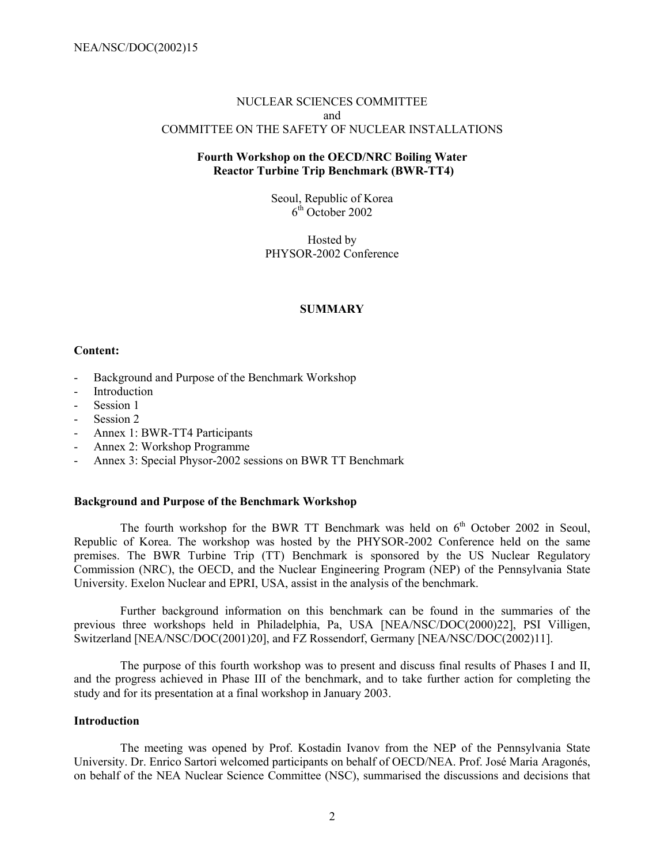## NUCLEAR SCIENCES COMMITTEE and COMMITTEE ON THE SAFETY OF NUCLEAR INSTALLATIONS

## **Fourth Workshop on the OECD/NRC Boiling Water Reactor Turbine Trip Benchmark (BWR-TT4)**

Seoul, Republic of Korea  $6<sup>th</sup>$  October 2002

Hosted by PHYSOR-2002 Conference

## **SUMMARY**

## **Content:**

- Background and Purpose of the Benchmark Workshop
- **Introduction**
- Session 1
- Session 2
- Annex 1: BWR-TT4 Participants
- Annex 2: Workshop Programme
- Annex 3: Special Physor-2002 sessions on BWR TT Benchmark

## **Background and Purpose of the Benchmark Workshop**

The fourth workshop for the BWR TT Benchmark was held on  $6<sup>th</sup>$  October 2002 in Seoul, Republic of Korea. The workshop was hosted by the PHYSOR-2002 Conference held on the same premises. The BWR Turbine Trip (TT) Benchmark is sponsored by the US Nuclear Regulatory Commission (NRC), the OECD, and the Nuclear Engineering Program (NEP) of the Pennsylvania State University. Exelon Nuclear and EPRI, USA, assist in the analysis of the benchmark.

Further background information on this benchmark can be found in the summaries of the previous three workshops held in Philadelphia, Pa, USA [NEA/NSC/DOC(2000)22], PSI Villigen, Switzerland [NEA/NSC/DOC(2001)20], and FZ Rossendorf, Germany [NEA/NSC/DOC(2002)11].

The purpose of this fourth workshop was to present and discuss final results of Phases I and II, and the progress achieved in Phase III of the benchmark, and to take further action for completing the study and for its presentation at a final workshop in January 2003.

## **Introduction**

The meeting was opened by Prof. Kostadin Ivanov from the NEP of the Pennsylvania State University. Dr. Enrico Sartori welcomed participants on behalf of OECD/NEA. Prof. José Maria Aragonés, on behalf of the NEA Nuclear Science Committee (NSC), summarised the discussions and decisions that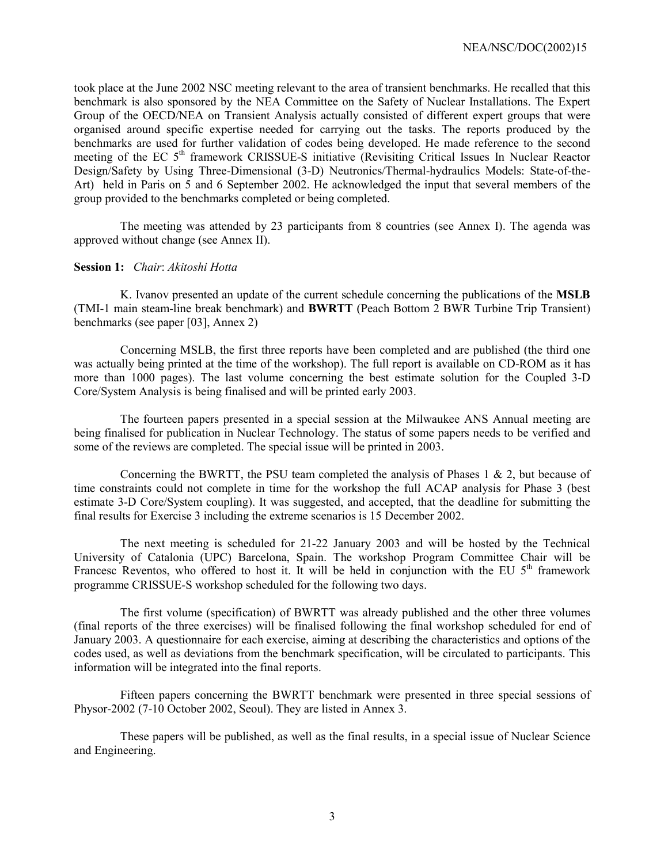took place at the June 2002 NSC meeting relevant to the area of transient benchmarks. He recalled that this benchmark is also sponsored by the NEA Committee on the Safety of Nuclear Installations. The Expert Group of the OECD/NEA on Transient Analysis actually consisted of different expert groups that were organised around specific expertise needed for carrying out the tasks. The reports produced by the benchmarks are used for further validation of codes being developed. He made reference to the second meeting of the EC 5<sup>th</sup> framework CRISSUE-S initiative (Revisiting Critical Issues In Nuclear Reactor Design/Safety by Using Three-Dimensional (3-D) Neutronics/Thermal-hydraulics Models: State-of-the-Art) held in Paris on 5 and 6 September 2002. He acknowledged the input that several members of the group provided to the benchmarks completed or being completed.

The meeting was attended by 23 participants from 8 countries (see Annex I). The agenda was approved without change (see Annex II).

#### **Session 1:** *Chair*: *Akitoshi Hotta*

K. Ivanov presented an update of the current schedule concerning the publications of the **MSLB** (TMI-1 main steam-line break benchmark) and **BWRTT** (Peach Bottom 2 BWR Turbine Trip Transient) benchmarks (see paper [03], Annex 2)

Concerning MSLB, the first three reports have been completed and are published (the third one was actually being printed at the time of the workshop). The full report is available on CD-ROM as it has more than 1000 pages). The last volume concerning the best estimate solution for the Coupled 3-D Core/System Analysis is being finalised and will be printed early 2003.

The fourteen papers presented in a special session at the Milwaukee ANS Annual meeting are being finalised for publication in Nuclear Technology. The status of some papers needs to be verified and some of the reviews are completed. The special issue will be printed in 2003.

Concerning the BWRTT, the PSU team completed the analysis of Phases  $1 \& 2$ , but because of time constraints could not complete in time for the workshop the full ACAP analysis for Phase 3 (best estimate 3-D Core/System coupling). It was suggested, and accepted, that the deadline for submitting the final results for Exercise 3 including the extreme scenarios is 15 December 2002.

The next meeting is scheduled for 21-22 January 2003 and will be hosted by the Technical University of Catalonia (UPC) Barcelona, Spain. The workshop Program Committee Chair will be Francesc Reventos, who offered to host it. It will be held in conjunction with the EU  $5<sup>th</sup>$  framework programme CRISSUE-S workshop scheduled for the following two days.

The first volume (specification) of BWRTT was already published and the other three volumes (final reports of the three exercises) will be finalised following the final workshop scheduled for end of January 2003. A questionnaire for each exercise, aiming at describing the characteristics and options of the codes used, as well as deviations from the benchmark specification, will be circulated to participants. This information will be integrated into the final reports.

Fifteen papers concerning the BWRTT benchmark were presented in three special sessions of Physor-2002 (7-10 October 2002, Seoul). They are listed in Annex 3.

These papers will be published, as well as the final results, in a special issue of Nuclear Science and Engineering.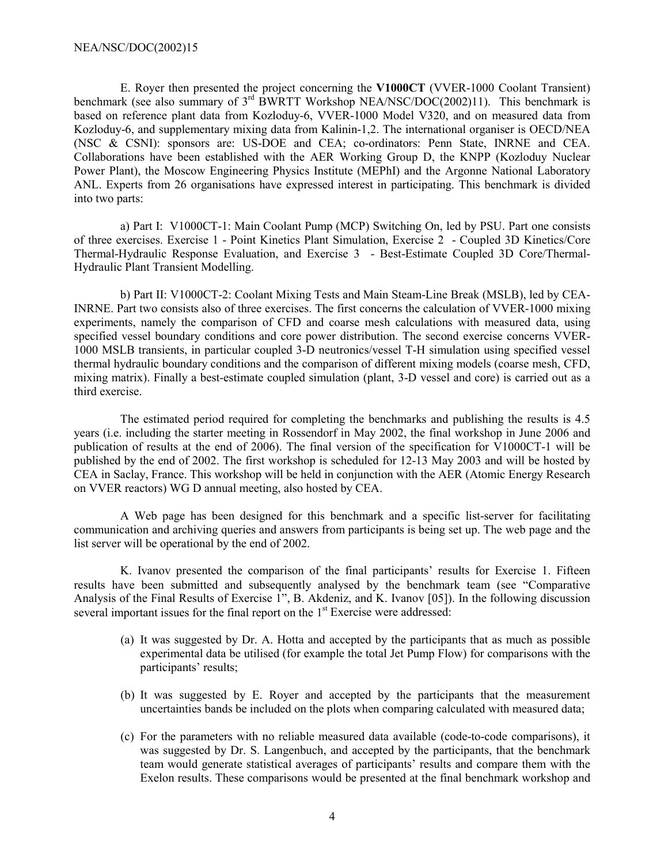E. Royer then presented the project concerning the **V1000CT** (VVER-1000 Coolant Transient) benchmark (see also summary of  $3^{rd}$  BWRTT Workshop NEA/NSC/DOC(2002)11). This benchmark is based on reference plant data from Kozloduy-6, VVER-1000 Model V320, and on measured data from Kozloduy-6, and supplementary mixing data from Kalinin-1,2. The international organiser is OECD/NEA (NSC & CSNI): sponsors are: US-DOE and CEA; co-ordinators: Penn State, INRNE and CEA. Collaborations have been established with the AER Working Group D, the KNPP (Kozloduy Nuclear Power Plant), the Moscow Engineering Physics Institute (MEPhI) and the Argonne National Laboratory ANL. Experts from 26 organisations have expressed interest in participating. This benchmark is divided into two parts:

a) Part I: V1000CT-1: Main Coolant Pump (MCP) Switching On, led by PSU. Part one consists of three exercises. Exercise 1 - Point Kinetics Plant Simulation, Exercise 2 - Coupled 3D Kinetics/Core Thermal-Hydraulic Response Evaluation, and Exercise 3 - Best-Estimate Coupled 3D Core/Thermal-Hydraulic Plant Transient Modelling.

b) Part II: V1000CT-2: Coolant Mixing Tests and Main Steam-Line Break (MSLB), led by CEA-INRNE. Part two consists also of three exercises. The first concerns the calculation of VVER-1000 mixing experiments, namely the comparison of CFD and coarse mesh calculations with measured data, using specified vessel boundary conditions and core power distribution. The second exercise concerns VVER-1000 MSLB transients, in particular coupled 3-D neutronics/vessel T-H simulation using specified vessel thermal hydraulic boundary conditions and the comparison of different mixing models (coarse mesh, CFD, mixing matrix). Finally a best-estimate coupled simulation (plant, 3-D vessel and core) is carried out as a third exercise.

The estimated period required for completing the benchmarks and publishing the results is 4.5 years (i.e. including the starter meeting in Rossendorf in May 2002, the final workshop in June 2006 and publication of results at the end of 2006). The final version of the specification for V1000CT-1 will be published by the end of 2002. The first workshop is scheduled for 12-13 May 2003 and will be hosted by CEA in Saclay, France. This workshop will be held in conjunction with the AER (Atomic Energy Research on VVER reactors) WG D annual meeting, also hosted by CEA.

A Web page has been designed for this benchmark and a specific list-server for facilitating communication and archiving queries and answers from participants is being set up. The web page and the list server will be operational by the end of 2002.

K. Ivanov presented the comparison of the final participants' results for Exercise 1. Fifteen results have been submitted and subsequently analysed by the benchmark team (see "Comparative") Analysis of the Final Results of Exercise 1", B. Akdeniz, and K. Ivanov [05]). In the following discussion several important issues for the final report on the 1<sup>st</sup> Exercise were addressed:

- (a) It was suggested by Dr. A. Hotta and accepted by the participants that as much as possible experimental data be utilised (for example the total Jet Pump Flow) for comparisons with the participants' results;
- (b) It was suggested by E. Royer and accepted by the participants that the measurement uncertainties bands be included on the plots when comparing calculated with measured data;
- (c) For the parameters with no reliable measured data available (code-to-code comparisons), it was suggested by Dr. S. Langenbuch, and accepted by the participants, that the benchmark team would generate statistical averages of participants' results and compare them with the Exelon results. These comparisons would be presented at the final benchmark workshop and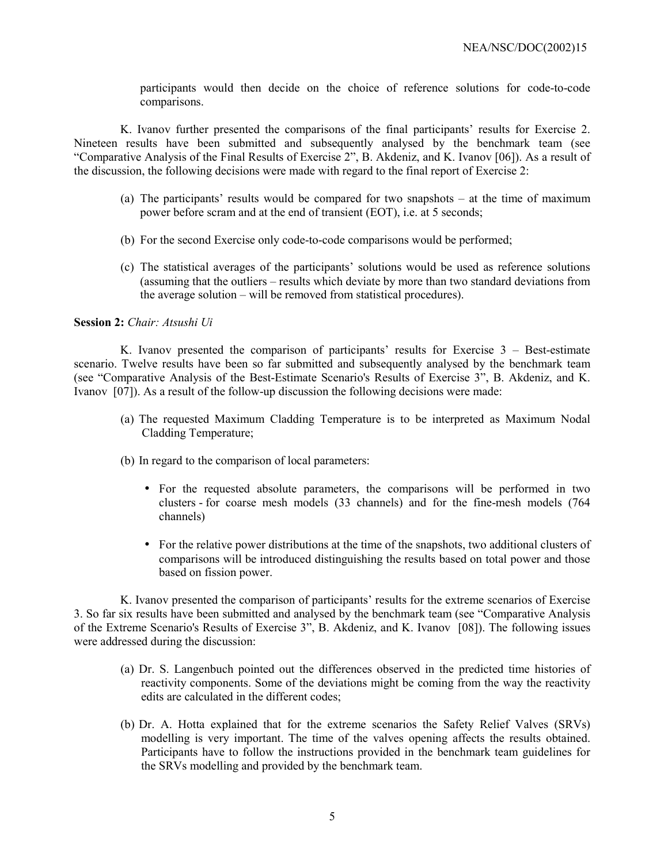participants would then decide on the choice of reference solutions for code-to-code comparisons.

K. Ivanov further presented the comparisons of the final participants' results for Exercise 2. Nineteen results have been submitted and subsequently analysed by the benchmark team (see ìComparative Analysis of the Final Results of Exercise 2î, B. Akdeniz, and K. Ivanov [06]). As a result of the discussion, the following decisions were made with regard to the final report of Exercise 2:

- (a) The participants' results would be compared for two snapshots  $-$  at the time of maximum power before scram and at the end of transient (EOT), i.e. at 5 seconds;
- (b) For the second Exercise only code-to-code comparisons would be performed;
- (c) The statistical averages of the participantsí solutions would be used as reference solutions (assuming that the outliers – results which deviate by more than two standard deviations from the average solution  $-\text{ will be removed from statistical procedures}.$

#### **Session 2:** *Chair: Atsushi Ui*

K. Ivanov presented the comparison of participants' results for Exercise  $3 -$  Best-estimate scenario. Twelve results have been so far submitted and subsequently analysed by the benchmark team (see "Comparative Analysis of the Best-Estimate Scenario's Results of Exercise 3", B. Akdeniz, and K. Ivanov [07]). As a result of the follow-up discussion the following decisions were made:

- (a) The requested Maximum Cladding Temperature is to be interpreted as Maximum Nodal Cladding Temperature;
- (b) In regard to the comparison of local parameters:
	- For the requested absolute parameters, the comparisons will be performed in two clusters - for coarse mesh models (33 channels) and for the fine-mesh models (764 channels)
	- For the relative power distributions at the time of the snapshots, two additional clusters of comparisons will be introduced distinguishing the results based on total power and those based on fission power.

K. Ivanov presented the comparison of participants' results for the extreme scenarios of Exercise 3. So far six results have been submitted and analysed by the benchmark team (see "Comparative Analysis") of the Extreme Scenario's Results of Exercise 3", B. Akdeniz, and K. Ivanov [08]). The following issues were addressed during the discussion:

- (a) Dr. S. Langenbuch pointed out the differences observed in the predicted time histories of reactivity components. Some of the deviations might be coming from the way the reactivity edits are calculated in the different codes;
- (b) Dr. A. Hotta explained that for the extreme scenarios the Safety Relief Valves (SRVs) modelling is very important. The time of the valves opening affects the results obtained. Participants have to follow the instructions provided in the benchmark team guidelines for the SRVs modelling and provided by the benchmark team.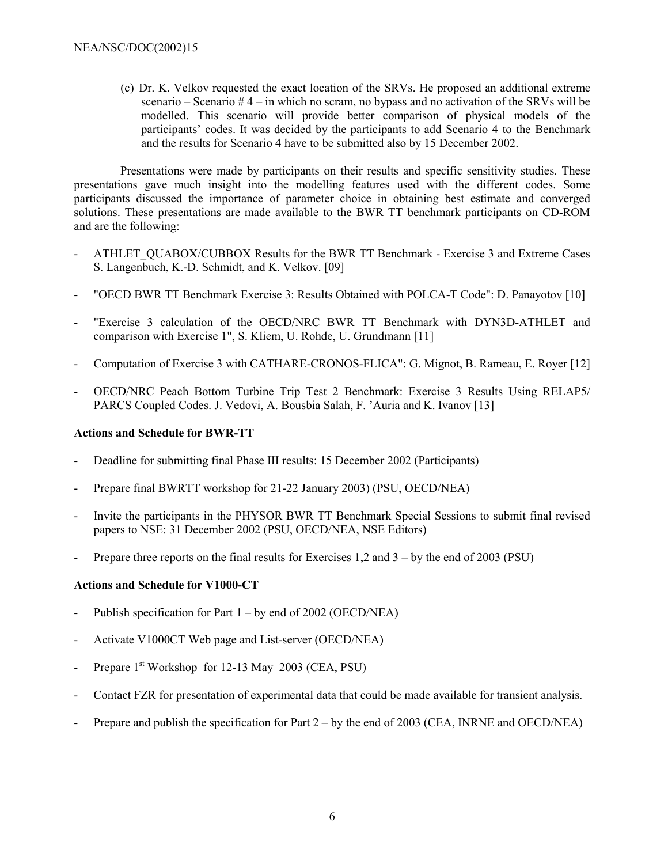(c) Dr. K. Velkov requested the exact location of the SRVs. He proposed an additional extreme scenario – Scenario  $# 4$  – in which no scram, no bypass and no activation of the SRVs will be modelled. This scenario will provide better comparison of physical models of the participants' codes. It was decided by the participants to add Scenario 4 to the Benchmark and the results for Scenario 4 have to be submitted also by 15 December 2002.

Presentations were made by participants on their results and specific sensitivity studies. These presentations gave much insight into the modelling features used with the different codes. Some participants discussed the importance of parameter choice in obtaining best estimate and converged solutions. These presentations are made available to the BWR TT benchmark participants on CD-ROM and are the following:

- ATHLET\_QUABOX/CUBBOX Results for the BWR TT Benchmark Exercise 3 and Extreme Cases S. Langenbuch, K.-D. Schmidt, and K. Velkov. [09]
- "OECD BWR TT Benchmark Exercise 3: Results Obtained with POLCA-T Code": D. Panayotov [10]
- "Exercise 3 calculation of the OECD/NRC BWR TT Benchmark with DYN3D-ATHLET and comparison with Exercise 1", S. Kliem, U. Rohde, U. Grundmann [11]
- Computation of Exercise 3 with CATHARE-CRONOS-FLICA": G. Mignot, B. Rameau, E. Royer [12]
- OECD/NRC Peach Bottom Turbine Trip Test 2 Benchmark: Exercise 3 Results Using RELAP5/ PARCS Coupled Codes. J. Vedovi, A. Bousbia Salah, F. 'Auria and K. Ivanov [13]

## **Actions and Schedule for BWR-TT**

- Deadline for submitting final Phase III results: 15 December 2002 (Participants)
- Prepare final BWRTT workshop for 21-22 January 2003) (PSU, OECD/NEA)
- Invite the participants in the PHYSOR BWR TT Benchmark Special Sessions to submit final revised papers to NSE: 31 December 2002 (PSU, OECD/NEA, NSE Editors)
- Prepare three reports on the final results for Exercises 1,2 and  $3 by$  the end of 2003 (PSU)

## **Actions and Schedule for V1000-CT**

- Publish specification for Part  $1 by$  end of 2002 (OECD/NEA)
- Activate V1000CT Web page and List-server (OECD/NEA)
- Prepare  $1<sup>st</sup>$  Workshop for 12-13 May 2003 (CEA, PSU)
- Contact FZR for presentation of experimental data that could be made available for transient analysis.
- Prepare and publish the specification for Part  $2 by$  the end of 2003 (CEA, INRNE and OECD/NEA)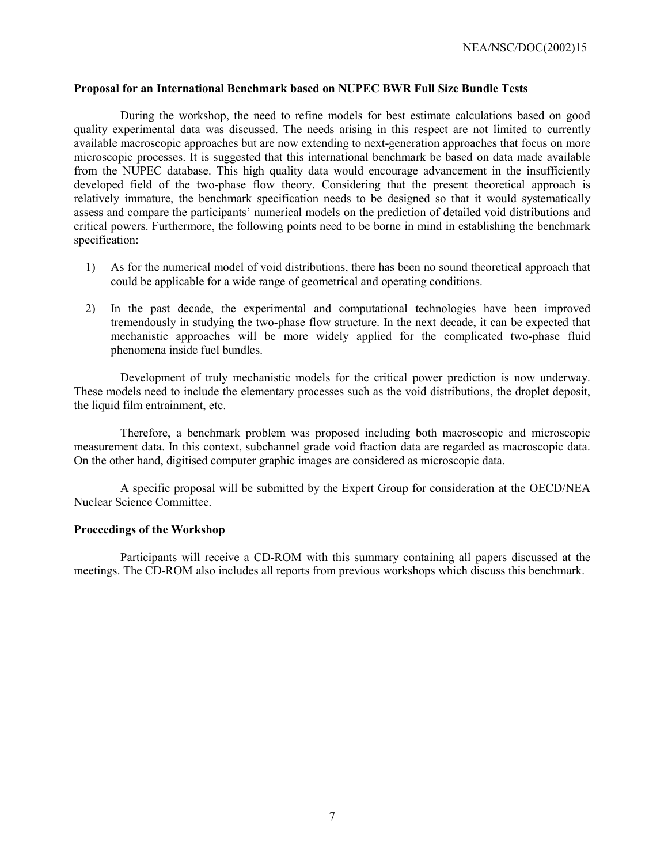#### **Proposal for an International Benchmark based on NUPEC BWR Full Size Bundle Tests**

During the workshop, the need to refine models for best estimate calculations based on good quality experimental data was discussed. The needs arising in this respect are not limited to currently available macroscopic approaches but are now extending to next-generation approaches that focus on more microscopic processes. It is suggested that this international benchmark be based on data made available from the NUPEC database. This high quality data would encourage advancement in the insufficiently developed field of the two-phase flow theory. Considering that the present theoretical approach is relatively immature, the benchmark specification needs to be designed so that it would systematically assess and compare the participants' numerical models on the prediction of detailed void distributions and critical powers. Furthermore, the following points need to be borne in mind in establishing the benchmark specification:

- 1) As for the numerical model of void distributions, there has been no sound theoretical approach that could be applicable for a wide range of geometrical and operating conditions.
- 2) In the past decade, the experimental and computational technologies have been improved tremendously in studying the two-phase flow structure. In the next decade, it can be expected that mechanistic approaches will be more widely applied for the complicated two-phase fluid phenomena inside fuel bundles.

Development of truly mechanistic models for the critical power prediction is now underway. These models need to include the elementary processes such as the void distributions, the droplet deposit, the liquid film entrainment, etc.

Therefore, a benchmark problem was proposed including both macroscopic and microscopic measurement data. In this context, subchannel grade void fraction data are regarded as macroscopic data. On the other hand, digitised computer graphic images are considered as microscopic data.

A specific proposal will be submitted by the Expert Group for consideration at the OECD/NEA Nuclear Science Committee.

#### **Proceedings of the Workshop**

Participants will receive a CD-ROM with this summary containing all papers discussed at the meetings. The CD-ROM also includes all reports from previous workshops which discuss this benchmark.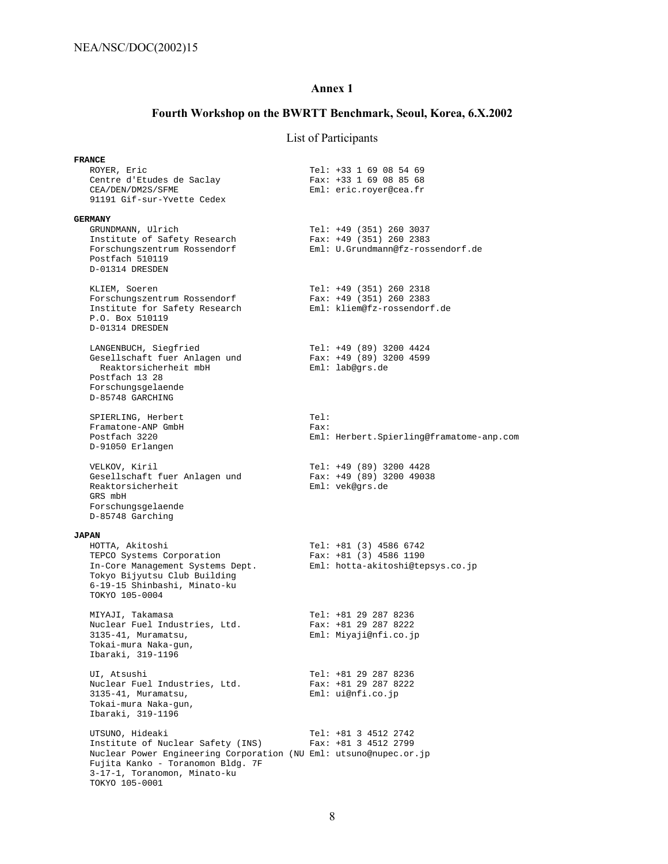## **Annex 1**

# **Fourth Workshop on the BWRTT Benchmark, Seoul, Korea, 6.X.2002**

# List of Participants

| <b>FRANCE</b>                                                                                                                                                                                                    |               |                                                                                           |
|------------------------------------------------------------------------------------------------------------------------------------------------------------------------------------------------------------------|---------------|-------------------------------------------------------------------------------------------|
| ROYER, Eric<br>Centre d'Etudes de Saclay<br>CEA/DEN/DM2S/SFME<br>91191 Gif-sur-Yvette Cedex                                                                                                                      |               | Tel: +33 1 69 08 54 69<br>Fax: +33 1 69 08 85 68<br>Eml: eric.royer@cea.fr                |
| <b>GERMANY</b><br>GRUNDMANN, Ulrich<br>Institute of Safety Research<br>Forschungszentrum Rossendorf<br>Postfach 510119<br>D-01314 DRESDEN                                                                        |               | Tel: +49 (351) 260 3037<br>Fax: $+49$ (351) 260 2383<br>Eml: U.Grundmann@fz-rossendorf.de |
| KLIEM, Soeren<br>Forschungszentrum Rossendorf<br>Institute for Safety Research<br>P.O. Box 510119<br>D-01314 DRESDEN                                                                                             |               | Tel: +49 (351) 260 2318<br>Fax: +49 (351) 260 2383<br>Eml: kliem@fz-rossendorf.de         |
| LANGENBUCH, Siegfried<br>Gesellschaft fuer Anlagen und<br>Reaktorsicherheit mbH<br>Postfach 13 28<br>Forschungsgelaende<br>D-85748 GARCHING                                                                      |               | Tel: +49 (89) 3200 4424<br>Fax: $+49$ (89) 3200 4599<br>Eml: lab@grs.de                   |
| SPIERLING, Herbert<br>Framatone-ANP GmbH<br>Postfach 3220<br>D-91050 Erlangen                                                                                                                                    | Tel:<br>Fast: | Eml: Herbert.Spierling@framatome-anp.com                                                  |
| VELKOV, Kiril<br>Gesellschaft fuer Anlagen und<br>Reaktorsicherheit<br>GRS mbH<br>Forschungsgelaende<br>D-85748 Garching                                                                                         |               | Tel: +49 (89) 3200 4428<br>Fax: $+49$ (89) 3200 49038<br>Eml: vek@grs.de                  |
|                                                                                                                                                                                                                  |               |                                                                                           |
| <b>JAPAN</b><br>HOTTA, Akitoshi<br>TEPCO Systems Corporation<br>In-Core Management Systems Dept.<br>Tokyo Bijyutsu Club Building<br>6-19-15 Shinbashi, Minato-ku<br>TOKYO 105-0004                               |               | Tel: $+81$ (3) 4586 6742<br>Fax: $+81$ (3) 4586 1190<br>Eml: hotta-akitoshi@tepsys.co.jp  |
| MIYAJI, Takamasa<br>Nuclear Fuel Industries, Ltd.<br>3135-41, Muramatsu,<br>Tokai-mura Naka-gun,<br>Ibaraki, 319-1196                                                                                            |               | Tel: +81 29 287 8236<br>Fax: $+81$ 29 287 8222<br>Eml: Miyaji@nfi.co.jp                   |
| UI, Atsushi<br>Nuclear Fuel Industries, Ltd.<br>3135-41, Muramatsu,<br>Tokai-mura Naka-gun,<br>Ibaraki, 319-1196                                                                                                 |               | Tel: +81 29 287 8236<br>Fax: +81 29 287 8222<br>Eml: uienti.co.jp                         |
| UTSUNO, Hideaki<br>Institute of Nuclear Safety (INS)<br>Nuclear Power Engineering Corporation (NU Eml: utsuno@nupec.or.jp<br>Fujita Kanko - Toranomon Bldg. 7F<br>3-17-1, Toranomon, Minato-ku<br>TOKYO 105-0001 |               | Tel: +81 3 4512 2742<br>$Fax: +81 3 4512 2799$                                            |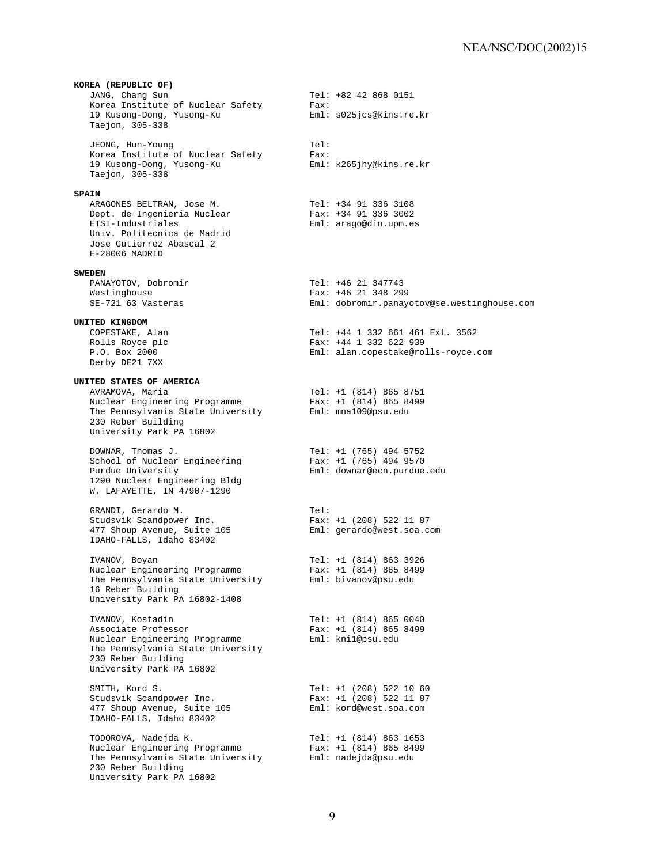**KOREA (REPUBLIC OF)** Tel: +82 42 868 0151 Korea Institute of Nuclear Safety<br>
19 Kusong-Dong, Yusong-Ku<br>
19 Kusong-Dong, Yusong-Ku<br>
Eml: s025jcs@kins.re.kr 19 Kusong-Dong, Yusong-Ku Taejon, 305-338 JEONG, Hun-Young<br>Korea Institute of Nuclear Safety Fax: Korea Institute of Nuclear Safety Fax:<br>19 Kusong-Dong, Yusong-Ku Fari: k265jhy@kins.re.kr 19 Kusong-Dong, Yusong-Ku Taejon, 305-338 **SPAIN** ARAGONES BELTRAN, Jose M. Tel: +34 91 336 3108<br>
Dept. de Ingenieria Nuclear Fax: +34 91 336 3002 Dept. de Ingenieria Nuclear ETSI-Industriales Eml: arago@din.upm.es Univ. Politecnica de Madrid Jose Gutierrez Abascal 2 E-28006 MADRID **SWEDEN** PANAYOTOV, Dobromir Tel: +46 21 347743 Westinghouse Tax: +46 21 348 299<br>SE-721 63 Vasteras Tax: Fax: +46 21 348 299 Eml: dobromir.panayotov@se.westinghouse.com **UNITED KINGDOM** COPESTAKE, Alan Tel: +44 1 332 661 461 Ext. 3562 Rolls Royce plc Fax: +44 1 332 622 939<br>P.O. Box 2000 F.O. Box 2000 Eml: alan.copestake@rolls-royce.com Derby DE21 7XX **UNITED STATES OF AMERICA** AVRAMOVA, Maria Tel: +1 (814) 865 8751 Nuclear Engineering Programme Fax: +1 (814) 865 8499 The Pennsylvania State University Eml: mna109@psu.edu 230 Reber Building University Park PA 16802 DOWNAR, Thomas J.<br>School of Nuclear Engineering Fax: +1 (765) 494 9570 School of Nuclear Engineering<br>Purdue University Purdue University Eml: downar@ecn.purdue.edu 1290 Nuclear Engineering Bldg W. LAFAYETTE, IN 47907-1290 GRANDI, Gerardo M. Tel: Studsvik Scandpower Inc.<br>
477 Shoup Avenue, Suite 105 Fax: +1 (208) 522 11 87 477 Shoup Avenue, Suite 105 IDAHO-FALLS, Idaho 83402 IVANOV, Boyan Tel: +1 (814) 863 3926 Nuclear Engineering Programme Fax: +1 (814) 865 8499 The Pennsylvania State University Eml: bivanov@psu.edu 16 Reber Building University Park PA 16802-1408 IVANOV, Kostadin Tel: +1 (814) 865 0040 Associate Professor Fax: +1 (814) 865 8499 Nuclear Engineering Programme Eml: kni1@psu.edu The Pennsylvania State University 230 Reber Building University Park PA 16802 SMITH, Kord S. The South Control of the SMITH, Kord S. Studsvik Scandpower Inc. Fax: +1 (208) 522 11 87 477 Shoup Avenue, Suite 105 Eml: kord@west.soa.com IDAHO-FALLS, Idaho 83402 TODOROVA, Nadejda K. Tel: +1 (814) 863 1653 Nuclear Engineering Programme Fax: +1 (814) 865 8499 The Pennsylvania State University Eml: nadejda@psu.edu 230 Reber Building University Park PA 16802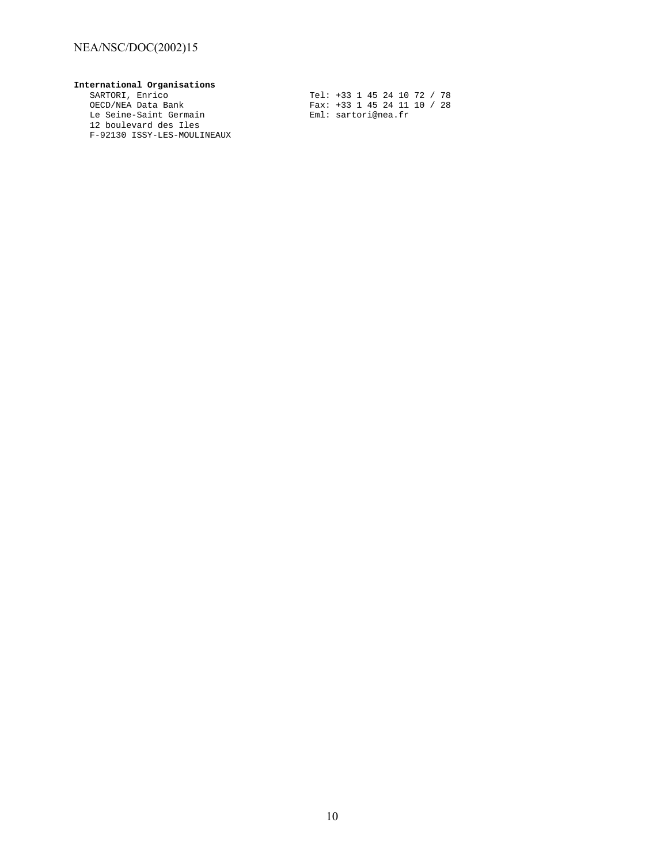## NEA/NSC/DOC(2002)15

**International Organisations** Le Seine-Saint Germain enter enter Eml: sartori@nea.fr 12 boulevard des Iles F-92130 ISSY-LES-MOULINEAUX

SARTORI, Enrico Tel: +33 1 45 24 10 72 / 78 OECD/NEA Data Bank Fax: +33 1 45 24 11 10 / 28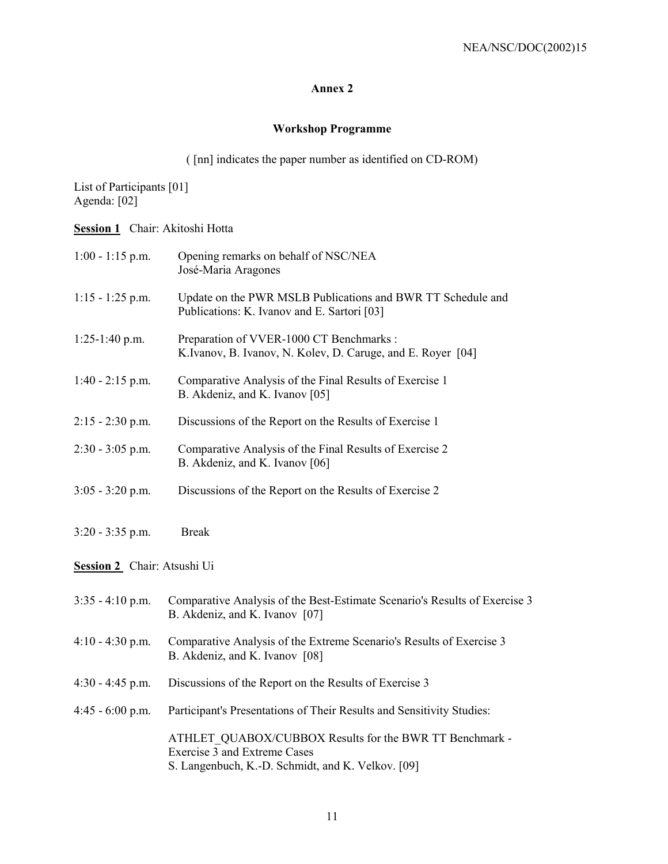## **Annex 2**

# **Workshop Programme**

( [nn] indicates the paper number as identified on CD-ROM)

List of Participants [01] Agenda: [02]

**Session 1** Chair: Akitoshi Hotta

| $1:00 - 1:15$ p.m.          | Opening remarks on behalf of NSC/NEA<br>José-Maria Aragones                                                                                  |  |
|-----------------------------|----------------------------------------------------------------------------------------------------------------------------------------------|--|
| $1:15 - 1:25$ p.m.          | Update on the PWR MSLB Publications and BWR TT Schedule and<br>Publications: K. Ivanov and E. Sartori [03]                                   |  |
| $1:25-1:40$ p.m.            | Preparation of VVER-1000 CT Benchmarks :<br>K.Ivanov, B. Ivanov, N. Kolev, D. Caruge, and E. Royer [04]                                      |  |
| $1:40 - 2:15$ p.m.          | Comparative Analysis of the Final Results of Exercise 1<br>B. Akdeniz, and K. Ivanov [05]                                                    |  |
| $2:15 - 2:30$ p.m.          | Discussions of the Report on the Results of Exercise 1                                                                                       |  |
| $2:30 - 3:05$ p.m.          | Comparative Analysis of the Final Results of Exercise 2<br>B. Akdeniz, and K. Ivanov [06]                                                    |  |
| $3:05 - 3:20$ p.m.          | Discussions of the Report on the Results of Exercise 2                                                                                       |  |
| $3:20 - 3:35$ p.m.          | <b>Break</b>                                                                                                                                 |  |
| Session 2 Chair: Atsushi Ui |                                                                                                                                              |  |
| $3:35 - 4:10$ p.m.          | Comparative Analysis of the Best-Estimate Scenario's Results of Exercise 3<br>B. Akdeniz, and K. Ivanov [07]                                 |  |
| $4:10 - 4:30$ p.m.          | Comparative Analysis of the Extreme Scenario's Results of Exercise 3<br>B. Akdeniz, and K. Ivanov [08]                                       |  |
| $4:30 - 4:45$ p.m.          | Discussions of the Report on the Results of Exercise 3                                                                                       |  |
| $4:45 - 6:00$ p.m.          | Participant's Presentations of Their Results and Sensitivity Studies:                                                                        |  |
|                             | ATHLET QUABOX/CUBBOX Results for the BWR TT Benchmark -<br>Exercise 3 and Extreme Cases<br>S. Langenbuch, K.-D. Schmidt, and K. Velkov. [09] |  |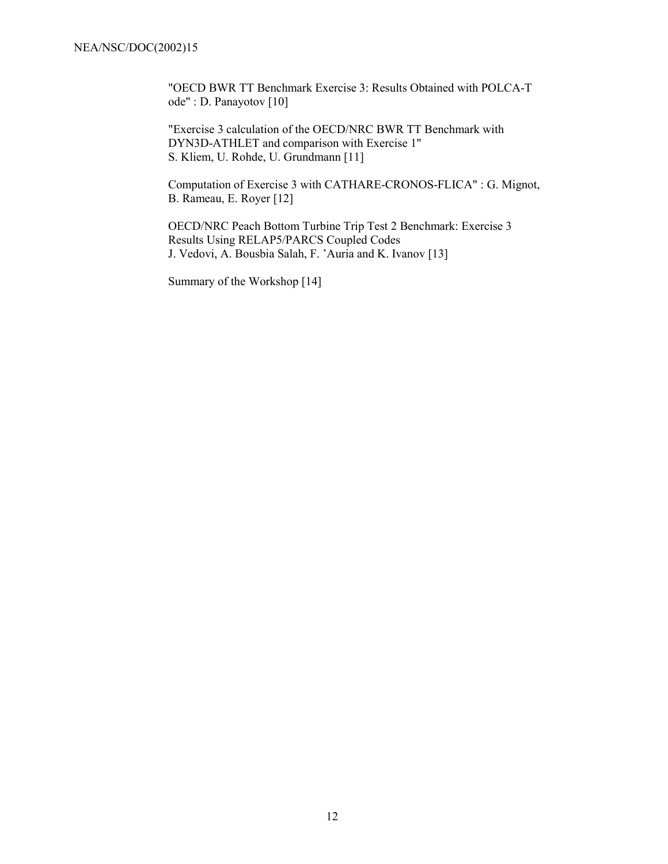"OECD BWR TT Benchmark Exercise 3: Results Obtained with POLCA-T ode" : D. Panayotov [10]

"Exercise 3 calculation of the OECD/NRC BWR TT Benchmark with DYN3D-ATHLET and comparison with Exercise 1" S. Kliem, U. Rohde, U. Grundmann [11]

Computation of Exercise 3 with CATHARE-CRONOS-FLICA" : G. Mignot, B. Rameau, E. Royer [12]

OECD/NRC Peach Bottom Turbine Trip Test 2 Benchmark: Exercise 3 Results Using RELAP5/PARCS Coupled Codes J. Vedovi, A. Bousbia Salah, F. 'Auria and K. Ivanov [13]

Summary of the Workshop [14]